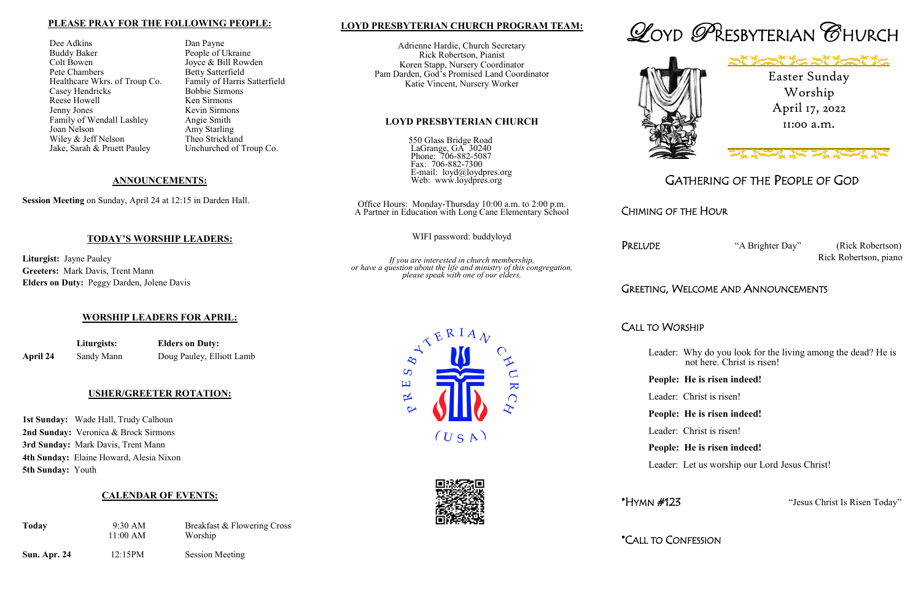# **LOYD PRESBYTERIAN CHURCH PROGRAM TEAM:**

Adrienne Hardie, Church Secretary Rick Robertson, Pianist Koren Stapp, Nursery Coordinator Pam Darden, God's Promised Land Coordinator Katie Vincent, Nursery Worker

#### **LOYD PRESBYTERIAN CHURCH**

550 Glass Bridge Road LaGrange, GA 30240 Phone: 706-882-5087 Fax: 706-882-7300 E-mail: loyd@loydpres.org Web: www.loydpres.org

> PRELUDE "A Brighter Day" (Rick Robertson) Rick Robertson, piano

Office Hours: Monday-Thursday 10:00 a.m. to 2:00 p.m. A Partner in Education with Long Cane Elementary School

WIFI password: buddyloyd

*If you are interested in church membership, or have a question about the life and ministry of this congregation, please speak with one of our elders.*





# GATHERING OF THE PEOPLE OF GOD

# CHIMING OF THE HOUR

# GREETING, WELCOME AND ANNOUNCEMENTS

# CALL TO WORSHIP

- Leader: Why do you look for the living among the dead? He is not here. Christ is risen!
- **People: He is risen indeed!**
- Leader: Christ is risen!
- **People: He is risen indeed!**
- Leader: Christ is risen!
- **People: He is risen indeed!**
- Leader: Let us worship our Lord Jesus Christ!

\*HYMN #123 "Jesus Christ Is Risen Today"

\*CALL TO CONFESSION





#### **PLEASE PRAY FOR THE FOLLOWING PEOPLE:**

Dee Adkins Dan Payne Buddy Baker People of Ukraine<br>Colt Bowen Joyce & Bill Rowd Pete Chambers<br>
Healthcare Wkrs. of Troup Co. Family of Harris Satterfield<br>
Family of Harris Satterfield Healthcare Wkrs. of Troup Co. Family of Harris<br>Casev Hendricks Bobbie Sirmons Casey Hendricks<br>
Reese Howell<br>
Ken Sirmons Reese Howell Jenny Jones Kevin Sirmons Family of Wendall Lashley Angie Smith Joan Nelson Amy Starling Wiley & Jeff Nelson Theo Strickland Jake, Sarah & Pruett Pauley Unchurched of Troup Co.

Joyce & Bill Rowden

#### **ANNOUNCEMENTS:**

**Session Meeting** on Sunday, April 24 at 12:15 in Darden Hall.

### **TODAY'S WORSHIP LEADERS:**

**Liturgist:** Jayne Pauley **Greeters:** Mark Davis, Trent Mann **Elders on Duty:** Peggy Darden, Jolene Davis

#### **WORSHIP LEADERS FOR APRIL:**

**Liturgists: Elders on Duty:**

**April 24** Sandy Mann Doug Pauley, Elliott Lamb

#### **USHER/GREETER ROTATION:**

**1st Sunday:** Wade Hall, Trudy Calhoun **2nd Sunday:** Veronica & Brock Sirmons **3rd Sunday:** Mark Davis, Trent Mann **4th Sunday:** Elaine Howard, Alesia Nixon **5th Sunday:** Youth

# **CALENDAR OF EVENTS:**

| <b>Today</b>        | $9:30 \text{ AM}$<br>11:00 AM | Breakfast & Flowering Cross<br>Worship |
|---------------------|-------------------------------|----------------------------------------|
| <b>Sun. Apr. 24</b> | 12:15PM                       | <b>Session Meeting</b>                 |

Easter Sunday Worship April 17, 2022 11:00 a.m.